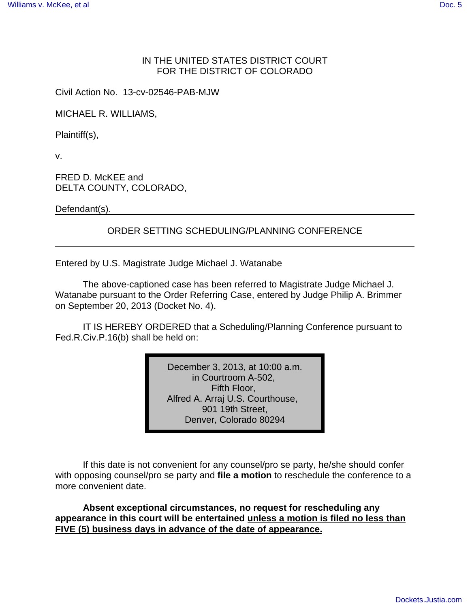## IN THE UNITED STATES DISTRICT COURT FOR THE DISTRICT OF COLORADO

Civil Action No. 13-cv-02546-PAB-MJW

MICHAEL R. WILLIAMS,

Plaintiff(s),

v.

FRED D. McKEE and DELTA COUNTY, COLORADO,

Defendant(s).

## ORDER SETTING SCHEDULING/PLANNING CONFERENCE

Entered by U.S. Magistrate Judge Michael J. Watanabe

The above-captioned case has been referred to Magistrate Judge Michael J. Watanabe pursuant to the Order Referring Case, entered by Judge Philip A. Brimmer on September 20, 2013 (Docket No. 4).

IT IS HEREBY ORDERED that a Scheduling/Planning Conference pursuant to Fed.R.Civ.P.16(b) shall be held on:

> December 3, 2013, at 10:00 a.m. in Courtroom A-502, Fifth Floor, Alfred A. Arraj U.S. Courthouse, 901 19th Street, Denver, Colorado 80294

If this date is not convenient for any counsel/pro se party, he/she should confer with opposing counsel/pro se party and **file a motion** to reschedule the conference to a more convenient date.

**Absent exceptional circumstances, no request for rescheduling any appearance in this court will be entertained unless a motion is filed no less than FIVE (5) business days in advance of the date of appearance.**